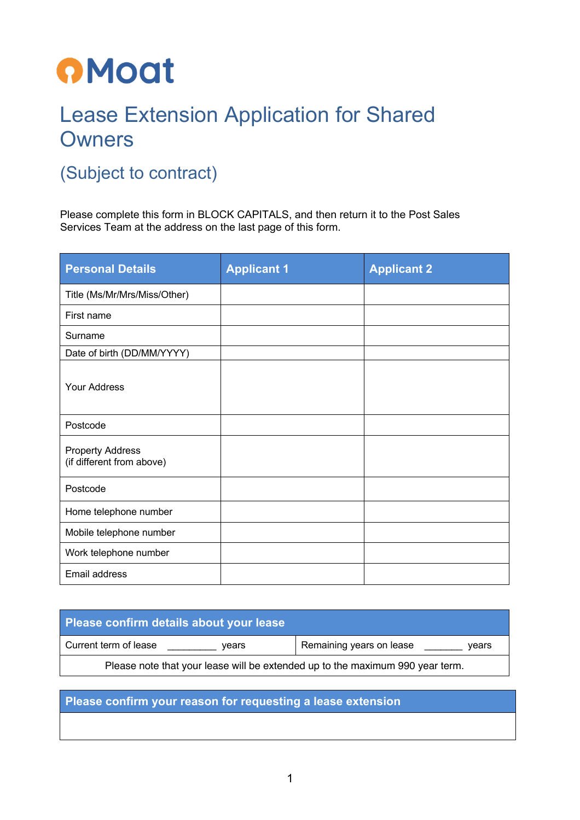## **OMoat**

## Lease Extension Application for Shared **Owners**

## (Subject to contract)

Please complete this form in BLOCK CAPITALS, and then return it to the Post Sales Services Team at the address on the last page of this form.

| <b>Personal Details</b>                              | <b>Applicant 1</b> | <b>Applicant 2</b> |
|------------------------------------------------------|--------------------|--------------------|
| Title (Ms/Mr/Mrs/Miss/Other)                         |                    |                    |
| First name                                           |                    |                    |
| Surname                                              |                    |                    |
| Date of birth (DD/MM/YYYY)                           |                    |                    |
| <b>Your Address</b>                                  |                    |                    |
| Postcode                                             |                    |                    |
| <b>Property Address</b><br>(if different from above) |                    |                    |
| Postcode                                             |                    |                    |
| Home telephone number                                |                    |                    |
| Mobile telephone number                              |                    |                    |
| Work telephone number                                |                    |                    |
| Email address                                        |                    |                    |

| Please confirm details about your lease                                       |                                   |  |  |
|-------------------------------------------------------------------------------|-----------------------------------|--|--|
| Current term of lease<br>vears                                                | Remaining years on lease<br>vears |  |  |
| Please note that your lease will be extended up to the maximum 990 year term. |                                   |  |  |

**Please confirm your reason for requesting a lease extension**